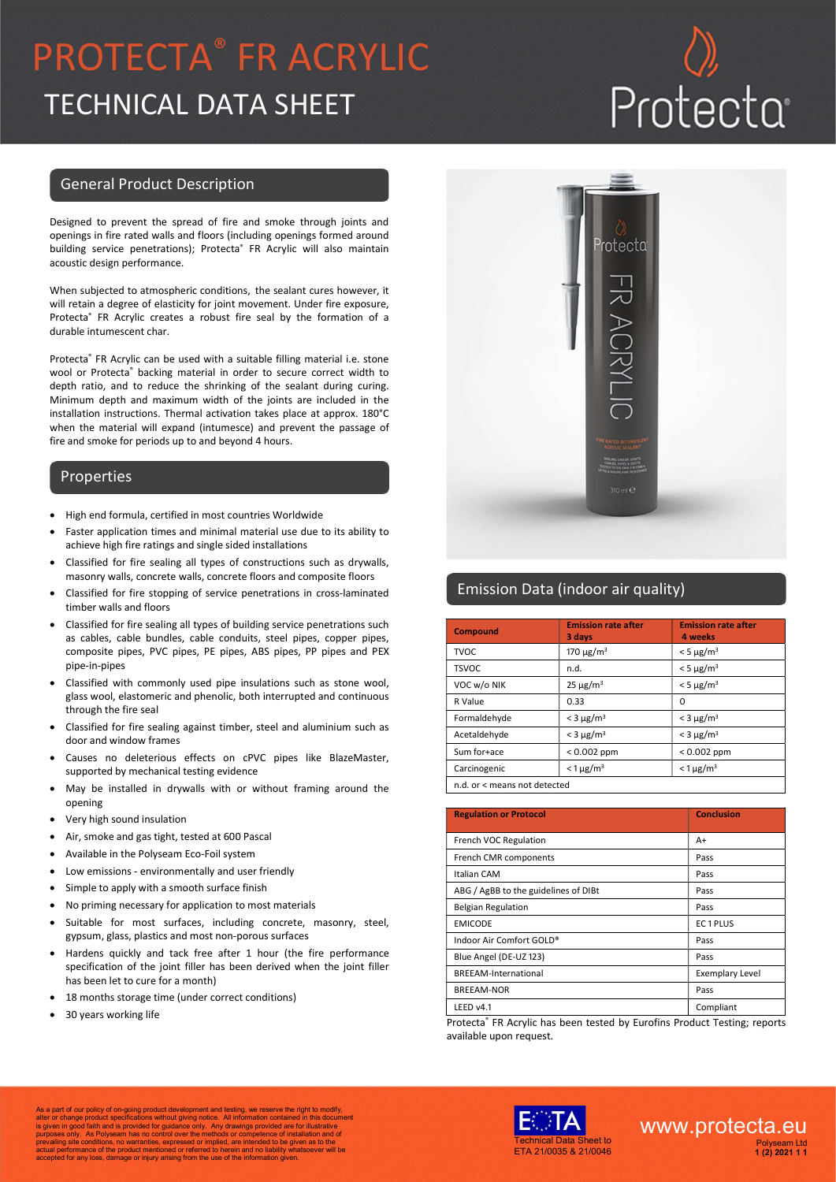## PROTECTA® FR ACRYLIC TECHNICAL DATA SHEET

## Protecta

#### General Product Description

Designed to prevent the spread of fire and smoke through joints and openings in fire rated walls and floors (including openings formed around building service penetrations); Protecta® FR Acrylic will also maintain acoustic design performance.

When subjected to atmospheric conditions, the sealant cures however, it will retain a degree of elasticity for joint movement. Under fire exposure, Protecta<sup>®</sup> FR Acrylic creates a robust fire seal by the formation of a durable intumescent char.

Protecta® FR Acrylic can be used with a suitable filling material i.e. stone wool or Protecta® backing material in order to secure correct width to depth ratio, and to reduce the shrinking of the sealant during curing. Minimum depth and maximum width of the joints are included in the installation instructions. Thermal activation takes place at approx. 180°C when the material will expand (intumesce) and prevent the passage of fire and smoke for periods up to and beyond 4 hours.

#### Properties

- High end formula, certified in most countries Worldwide
- Faster application times and minimal material use due to its ability to achieve high fire ratings and single sided installations
- Classified for fire sealing all types of constructions such as drywalls, masonry walls, concrete walls, concrete floors and composite floors
- Classified for fire stopping of service penetrations in cross-laminated timber walls and floors
- Classified for fire sealing all types of building service penetrations such as cables, cable bundles, cable conduits, steel pipes, copper pipes, composite pipes, PVC pipes, PE pipes, ABS pipes, PP pipes and PEX pipe-in-pipes
- Classified with commonly used pipe insulations such as stone wool, glass wool, elastomeric and phenolic, both interrupted and continuous through the fire seal
- Classified for fire sealing against timber, steel and aluminium such as door and window frames
- Causes no deleterious effects on cPVC pipes like BlazeMaster, supported by mechanical testing evidence
- May be installed in drywalls with or without framing around the opening
- Very high sound insulation
- Air, smoke and gas tight, tested at 600 Pascal
- Available in the Polyseam Eco-Foil system
- Low emissions environmentally and user friendly
- Simple to apply with a smooth surface finish
- No priming necessary for application to most materials
- Suitable for most surfaces, including concrete, masonry, steel, gypsum, glass, plastics and most non-porous surfaces
- Hardens quickly and tack free after 1 hour (the fire performance specification of the joint filler has been derived when the joint filler has been let to cure for a month)
- 18 months storage time (under correct conditions)
- 30 years working life



#### Emission Data (indoor air quality)

| <b>Compound</b>              | <b>Emission rate after</b><br>3 days | <b>Emission rate after</b><br>4 weeks |
|------------------------------|--------------------------------------|---------------------------------------|
| <b>TVOC</b>                  | 170 $\mu$ g/m <sup>3</sup>           | $<$ 5 $\mu$ g/m <sup>3</sup>          |
| <b>TSVOC</b>                 | n.d.                                 | $<$ 5 $\mu$ g/m <sup>3</sup>          |
| VOC w/o NIK                  | $25 \mu g/m^3$                       | $< 5 \mu g/m3$                        |
| R Value                      | 0.33                                 | Ω                                     |
| Formaldehyde                 | $<$ 3 $\mu$ g/m <sup>3</sup>         | $<$ 3 $\mu$ g/m <sup>3</sup>          |
| Acetaldehyde                 | $<$ 3 $\mu$ g/m <sup>3</sup>         | $<$ 3 $\mu$ g/m <sup>3</sup>          |
| Sum for+ace                  | $< 0.002$ ppm                        | $< 0.002$ ppm                         |
| Carcinogenic                 | $<$ 1 $\mu$ g/m <sup>3</sup>         | $<$ 1 $\mu$ g/m <sup>3</sup>          |
| n.d. or < means not detected |                                      |                                       |

| <b>Regulation or Protocol</b>        | <b>Conclusion</b>      |
|--------------------------------------|------------------------|
| French VOC Regulation                | A+                     |
| French CMR components                | Pass                   |
| <b>Italian CAM</b>                   | Pass                   |
| ABG / AgBB to the guidelines of DIBt | Pass                   |
| <b>Belgian Regulation</b>            | Pass                   |
| <b>EMICODE</b>                       | EC1PLUS                |
| Indoor Air Comfort GOLD®             | Pass                   |
| Blue Angel (DE-UZ 123)               | Pass                   |
| BREEAM-International                 | <b>Exemplary Level</b> |
| <b>BREEAM-NOR</b>                    | Pass                   |
| LEED v4.1                            | Compliant              |

Protecta® FR Acrylic has been tested by Eurofins Product Testing; reports available upon request.

As a part of our policy of on-going product development and testing, we reserve the right to modify,<br>alter or change product specifications without giving notice. All information contained in this document<br>is given in good